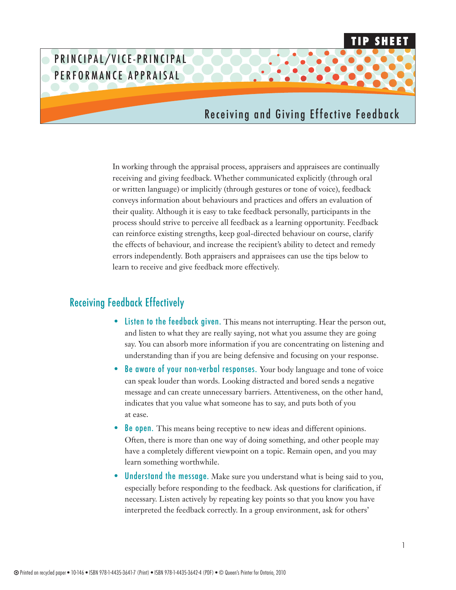# PRINCIPAL/VICE-PRINCIPAL PERFORMANCE APPRAISAL

## Receiving and Giving Effective Feedback

**Tip Sheet**

In working through the appraisal process, appraisers and appraisees are continually receiving and giving feedback. Whether communicated explicitly (through oral or written language) or implicitly (through gestures or tone of voice), feedback conveys information about behaviours and practices and offers an evaluation of their quality. Although it is easy to take feedback personally, participants in the process should strive to perceive all feedback as a learning opportunity. Feedback can reinforce existing strengths, keep goal-directed behaviour on course, clarify the effects of behaviour, and increase the recipient's ability to detect and remedy errors independently. Both appraisers and appraisees can use the tips below to learn to receive and give feedback more effectively.

#### Receiving Feedback Effectively

- Listen to the feedback given. This means not interrupting. Hear the person out, and listen to what they are really saying, not what you assume they are going say. You can absorb more information if you are concentrating on listening and understanding than if you are being defensive and focusing on your response.
- Be aware of your non-verbal responses. Your body language and tone of voice can speak louder than words. Looking distracted and bored sends a negative message and can create unnecessary barriers. Attentiveness, on the other hand, indicates that you value what someone has to say, and puts both of you at ease.
- **Be open.** This means being receptive to new ideas and different opinions. Often, there is more than one way of doing something, and other people may have a completely different viewpoint on a topic. Remain open, and you may learn something worthwhile.
- Understand the message. Make sure you understand what is being said to you, especially before responding to the feedback. Ask questions for clarification, if necessary. Listen actively by repeating key points so that you know you have interpreted the feedback correctly. In a group environment, ask for others'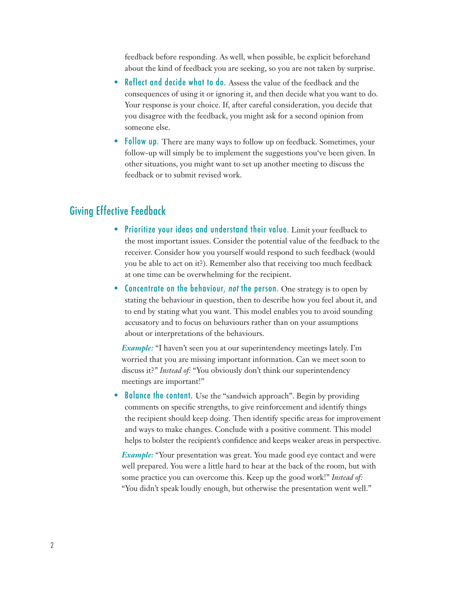feedback before responding. As well, when possible, be explicit beforehand about the kind of feedback you are seeking, so you are not taken by surprise.

- Reflect and decide what to do. Assess the value of the feedback and the consequences of using it or ignoring it, and then decide what you want to do. Your response is your choice. If, after careful consideration, you decide that you disagree with the feedback, you might ask for a second opinion from someone else.
- **Follow up.** There are many ways to follow up on feedback. Sometimes, your follow-up will simply be to implement the suggestions you've been given. In other situations, you might want to set up another meeting to discuss the feedback or to submit revised work.

### Giving Effective Feedback

- Prioritize your ideas and understand their value. Limit your feedback to the most important issues. Consider the potential value of the feedback to the receiver. Consider how you yourself would respond to such feedback (would you be able to act on it?). Remember also that receiving too much feedback at one time can be overwhelming for the recipient.
- Concentrate on the behaviour, *not* the person. One strategy is to open by stating the behaviour in question, then to describe how you feel about it, and to end by stating what you want. This model enables you to avoid sounding accusatory and to focus on behaviours rather than on your assumptions about or interpretations of the behaviours.

*Example:* "I haven't seen you at our superintendency meetings lately. I'm worried that you are missing important information. Can we meet soon to discuss it?" *Instead of:* "You obviously don't think our superintendency meetings are important!"

**Balance the content.** Use the "sandwich approach". Begin by providing comments on specific strengths, to give reinforcement and identify things the recipient should keep doing. Then identify specific areas for improvement and ways to make changes. Conclude with a positive comment. This model helps to bolster the recipient's confidence and keeps weaker areas in perspective.

*Example:* "Your presentation was great. You made good eye contact and were well prepared. You were a little hard to hear at the back of the room, but with some practice you can overcome this. Keep up the good work!" *Instead of:* "You didn't speak loudly enough, but otherwise the presentation went well."